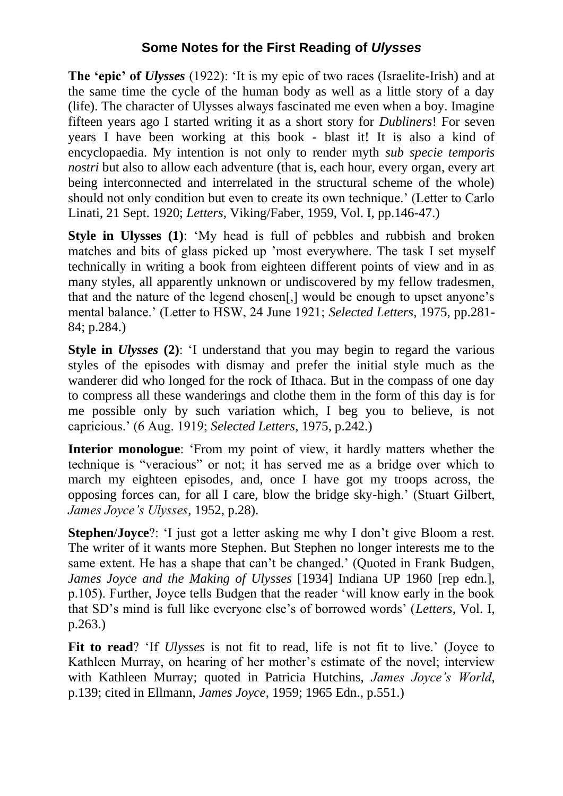## **Some Notes for the First Reading of** *Ulysses*

**The 'epic' of** *Ulysses* (1922): 'It is my epic of two races (Israelite-Irish) and at the same time the cycle of the human body as well as a little story of a day (life). The character of Ulysses always fascinated me even when a boy. Imagine fifteen years ago I started writing it as a short story for *Dubliners*! For seven years I have been working at this book - blast it! It is also a kind of encyclopaedia. My intention is not only to render myth *sub specie temporis nostri* but also to allow each adventure (that is, each hour, every organ, every art being interconnected and interrelated in the structural scheme of the whole) should not only condition but even to create its own technique.' (Letter to Carlo Linati, 21 Sept. 1920; *Letters,* Viking/Faber, 1959, Vol. I, pp.146-47.)

**Style in Ulysses (1):** 'My head is full of pebbles and rubbish and broken matches and bits of glass picked up 'most everywhere. The task I set myself technically in writing a book from eighteen different points of view and in as many styles, all apparently unknown or undiscovered by my fellow tradesmen, that and the nature of the legend chosen[,] would be enough to upset anyone's mental balance.' (Letter to HSW, 24 June 1921; *Selected Letters*, 1975, pp.281- 84; p.284.)

**Style in** *Ulysses* **(2)**: 'I understand that you may begin to regard the various styles of the episodes with dismay and prefer the initial style much as the wanderer did who longed for the rock of Ithaca. But in the compass of one day to compress all these wanderings and clothe them in the form of this day is for me possible only by such variation which, I beg you to believe, is not capricious.' (6 Aug. 1919; *Selected Letters*, 1975, p.242.)

**Interior monologue**: 'From my point of view, it hardly matters whether the technique is "veracious" or not; it has served me as a bridge over which to march my eighteen episodes, and, once I have got my troops across, the opposing forces can, for all I care, blow the bridge sky-high.' (Stuart Gilbert, *James Joyce's Ulysses*, 1952, p.28).

**Stephen**/**Joyce**?: 'I just got a letter asking me why I don't give Bloom a rest. The writer of it wants more Stephen. But Stephen no longer interests me to the same extent. He has a shape that can't be changed.' (Quoted in Frank Budgen, *James Joyce and the Making of Ulysses* [1934] Indiana UP 1960 [rep edn.], p.105). Further, Joyce tells Budgen that the reader 'will know early in the book that SD's mind is full like everyone else's of borrowed words' (*Letters*, Vol. I, p.263.)

**Fit to read**? 'If *Ulysses* is not fit to read, life is not fit to live.' (Joyce to Kathleen Murray, on hearing of her mother's estimate of the novel; interview with Kathleen Murray; quoted in Patricia Hutchins, *James Joyce's World*, p.139; cited in Ellmann, *James Joyce*, 1959; 1965 Edn., p.551.)